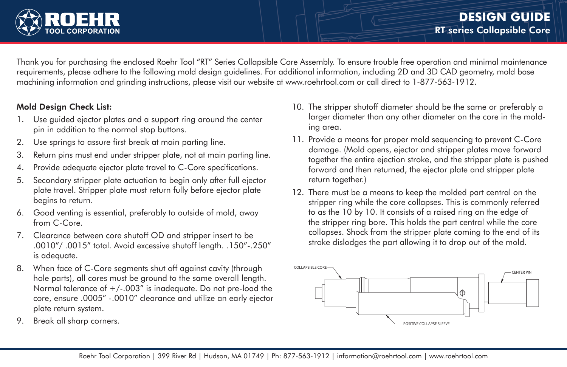

Thank you for purchasing the enclosed Roehr Tool "RT" Series Collapsible Core Assembly. To ensure trouble free operation and minimal maintenance requirements, please adhere to the following mold design guidelines. For additional information, including 2D and 3D CAD geometry, mold base machining information and grinding instructions, please visit our website at www.roehrtool.com or call direct to 1-877-563-1912.

### Mold Design Check List:

- 1. Use guided ejector plates and a support ring around the center pin in addition to the normal stop buttons.
- 2. Use springs to assure first break at main parting line.
- 3. Return pins must end under stripper plate, not at main parting line.
- 4. Provide adequate ejector plate travel to C-Core specifications.
- 5. Secondary stripper plate actuation to begin only after full ejector plate travel. Stripper plate must return fully before ejector plate begins to return.
- 6. Good venting is essential, preferably to outside of mold, away from C-Core.
- 7. Clearance between core shutoff OD and stripper insert to be .0010"/ .0015" total. Avoid excessive shutoff length. .150"-.250" is adequate.
- 8. When face of C-Core segments shut off against cavity (through hole parts), all cores must be ground to the same overall length. Normal tolerance of +/-.003" is inadequate. Do not pre-load the core, ensure .0005" -.0010" clearance and utilize an early ejector plate return system.
- 9. Break all sharp corners.
- 10. The stripper shutoff diameter should be the same or preferably a larger diameter than any other diameter on the core in the molding area.
- 11. Provide a means for proper mold sequencing to prevent C-Core damage. (Mold opens, ejector and stripper plates move forward together the entire ejection stroke, and the stripper plate is pushed forward and then returned, the ejector plate and stripper plate return together.)
- 12. There must be a means to keep the molded part central on the stripper ring while the core collapses. This is commonly referred to as the 10 by 10. It consists of a raised ring on the edge of the stripper ring bore. This holds the part central while the core collapses. Shock from the stripper plate coming to the end of its stroke dislodges the part allowing it to drop out of the mold.